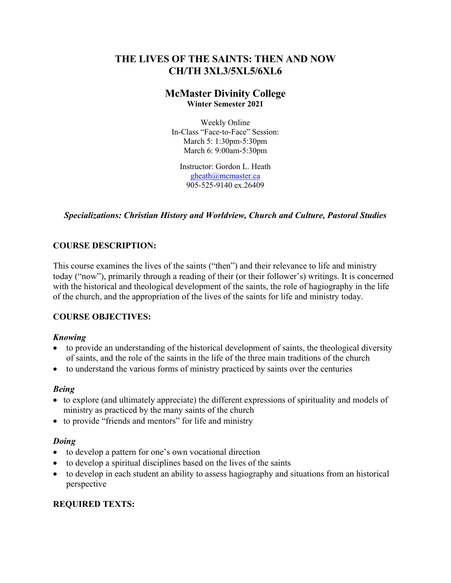# **THE LIVES OF THE SAINTS: THEN AND NOW CH/TH 3XL3/5XL5/6XL6**

# **McMaster Divinity College Winter Semester 2021**

Weekly Online In-Class "Face-to-Face" Session: March 5: 1:30pm-5:30pm March 6: 9:00am-5:30pm

Instructor: Gordon L. Heath gheath@mcmaster.ca 905-525-9140 ex.26409

## *Specializations: Christian History and Worldview, Church and Culture, Pastoral Studies*

# **COURSE DESCRIPTION:**

This course examines the lives of the saints ("then") and their relevance to life and ministry today ("now"), primarily through a reading of their (or their follower's) writings. It is concerned with the historical and theological development of the saints, the role of hagiography in the life of the church, and the appropriation of the lives of the saints for life and ministry today.

## **COURSE OBJECTIVES:**

## *Knowing*

- to provide an understanding of the historical development of saints, the theological diversity of saints, and the role of the saints in the life of the three main traditions of the church
- to understand the various forms of ministry practiced by saints over the centuries

#### *Being*

- to explore (and ultimately appreciate) the different expressions of spirituality and models of ministry as practiced by the many saints of the church
- to provide "friends and mentors" for life and ministry

#### *Doing*

- to develop a pattern for one's own vocational direction
- to develop a spiritual disciplines based on the lives of the saints
- to develop in each student an ability to assess hagiography and situations from an historical perspective

# **REQUIRED TEXTS:**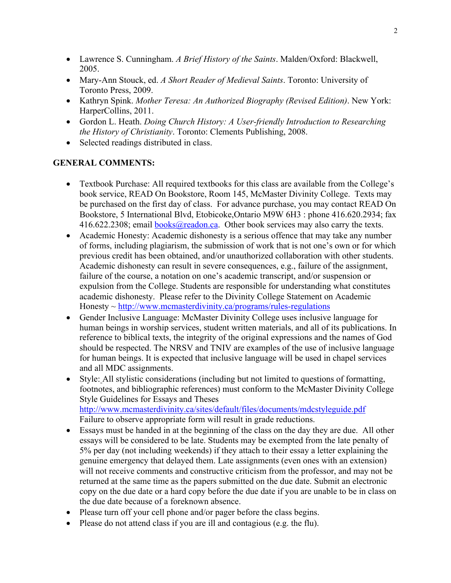- Lawrence S. Cunningham. *A Brief History of the Saints*. Malden/Oxford: Blackwell, 2005.
- Mary-Ann Stouck, ed. *A Short Reader of Medieval Saints*. Toronto: University of Toronto Press, 2009.
- Kathryn Spink. *Mother Teresa: An Authorized Biography (Revised Edition)*. New York: HarperCollins, 2011.
- Gordon L. Heath. *Doing Church History: A User-friendly Introduction to Researching the History of Christianity*. Toronto: Clements Publishing, 2008.
- Selected readings distributed in class.

## **GENERAL COMMENTS:**

- Textbook Purchase: All required textbooks for this class are available from the College's book service, READ On Bookstore, Room 145, McMaster Divinity College. Texts may be purchased on the first day of class. For advance purchase, you may contact READ On Bookstore, 5 International Blvd, Etobicoke,Ontario M9W 6H3 : phone 416.620.2934; fax 416.622.2308; email books@readon.ca. Other book services may also carry the texts.
- Academic Honesty: Academic dishonesty is a serious offence that may take any number of forms, including plagiarism, the submission of work that is not one's own or for which previous credit has been obtained, and/or unauthorized collaboration with other students. Academic dishonesty can result in severe consequences, e.g., failure of the assignment, failure of the course, a notation on one's academic transcript, and/or suspension or expulsion from the College. Students are responsible for understanding what constitutes academic dishonesty. Please refer to the Divinity College Statement on Academic  $Honesty \sim \frac{http://www.mcmasterdivinity.ca/programs/rules-regulations}{http://www.mcmasterdivinity.ca/programs/rules-regulations}$
- Gender Inclusive Language: McMaster Divinity College uses inclusive language for human beings in worship services, student written materials, and all of its publications. In reference to biblical texts, the integrity of the original expressions and the names of God should be respected. The NRSV and TNIV are examples of the use of inclusive language for human beings. It is expected that inclusive language will be used in chapel services and all MDC assignments.
- Style: All stylistic considerations (including but not limited to questions of formatting, footnotes, and bibliographic references) must conform to the McMaster Divinity College Style Guidelines for Essays and Theses http://www.mcmasterdivinity.ca/sites/default/files/documents/mdcstyleguide.pdf Failure to observe appropriate form will result in grade reductions.
- Essays must be handed in at the beginning of the class on the day they are due. All other essays will be considered to be late. Students may be exempted from the late penalty of 5% per day (not including weekends) if they attach to their essay a letter explaining the genuine emergency that delayed them. Late assignments (even ones with an extension) will not receive comments and constructive criticism from the professor, and may not be returned at the same time as the papers submitted on the due date. Submit an electronic copy on the due date or a hard copy before the due date if you are unable to be in class on the due date because of a foreknown absence.
- Please turn off your cell phone and/or pager before the class begins.
- Please do not attend class if you are ill and contagious (e.g. the flu).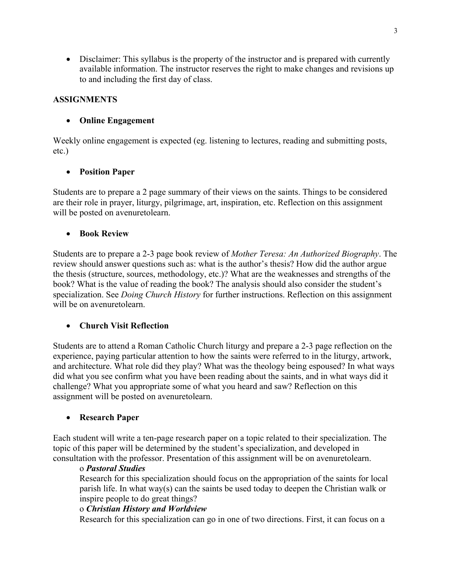• Disclaimer: This syllabus is the property of the instructor and is prepared with currently available information. The instructor reserves the right to make changes and revisions up to and including the first day of class.

# **ASSIGNMENTS**

# • **Online Engagement**

Weekly online engagement is expected (eg. listening to lectures, reading and submitting posts, etc.)

## • **Position Paper**

Students are to prepare a 2 page summary of their views on the saints. Things to be considered are their role in prayer, liturgy, pilgrimage, art, inspiration, etc. Reflection on this assignment will be posted on avenuretolearn.

## • **Book Review**

Students are to prepare a 2-3 page book review of *Mother Teresa: An Authorized Biography*. The review should answer questions such as: what is the author's thesis? How did the author argue the thesis (structure, sources, methodology, etc.)? What are the weaknesses and strengths of the book? What is the value of reading the book? The analysis should also consider the student's specialization. See *Doing Church History* for further instructions. Reflection on this assignment will be on avenuretolearn.

## • **Church Visit Reflection**

Students are to attend a Roman Catholic Church liturgy and prepare a 2-3 page reflection on the experience, paying particular attention to how the saints were referred to in the liturgy, artwork, and architecture. What role did they play? What was the theology being espoused? In what ways did what you see confirm what you have been reading about the saints, and in what ways did it challenge? What you appropriate some of what you heard and saw? Reflection on this assignment will be posted on avenuretolearn.

## • **Research Paper**

Each student will write a ten-page research paper on a topic related to their specialization. The topic of this paper will be determined by the student's specialization, and developed in consultation with the professor. Presentation of this assignment will be on avenuretolearn.

## o *Pastoral Studies*

Research for this specialization should focus on the appropriation of the saints for local parish life. In what way(s) can the saints be used today to deepen the Christian walk or inspire people to do great things?

## o *Christian History and Worldview*

Research for this specialization can go in one of two directions. First, it can focus on a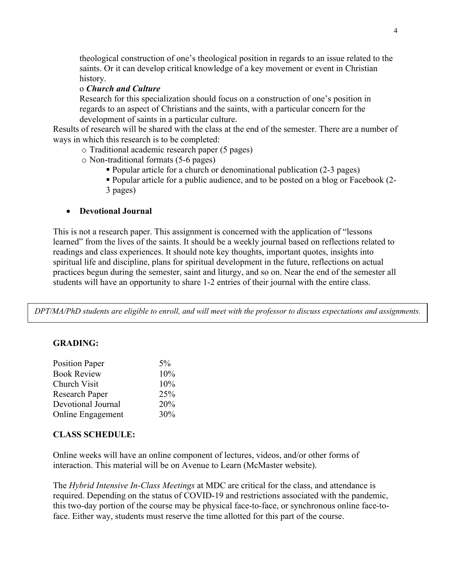theological construction of one's theological position in regards to an issue related to the saints. Or it can develop critical knowledge of a key movement or event in Christian history.

#### o *Church and Culture*

Research for this specialization should focus on a construction of one's position in regards to an aspect of Christians and the saints, with a particular concern for the development of saints in a particular culture.

Results of research will be shared with the class at the end of the semester. There are a number of ways in which this research is to be completed:

o Traditional academic research paper (5 pages)

o Non-traditional formats (5-6 pages)

§ Popular article for a church or denominational publication (2-3 pages)

§ Popular article for a public audience, and to be posted on a blog or Facebook (2- 3 pages)

#### • **Devotional Journal**

This is not a research paper. This assignment is concerned with the application of "lessons learned" from the lives of the saints. It should be a weekly journal based on reflections related to readings and class experiences. It should note key thoughts, important quotes, insights into spiritual life and discipline, plans for spiritual development in the future, reflections on actual practices begun during the semester, saint and liturgy, and so on. Near the end of the semester all students will have an opportunity to share 1-2 entries of their journal with the entire class.

*DPT/MA/PhD students are eligible to enroll, and will meet with the professor to discuss expectations and assignments.*

#### **GRADING:**

| $5\%$ |
|-------|
| 10%   |
| 10%   |
| 25%   |
| 20%   |
| 30%   |
|       |

#### **CLASS SCHEDULE:**

Online weeks will have an online component of lectures, videos, and/or other forms of interaction. This material will be on Avenue to Learn (McMaster website).

The *Hybrid Intensive In-Class Meetings* at MDC are critical for the class, and attendance is required. Depending on the status of COVID-19 and restrictions associated with the pandemic, this two-day portion of the course may be physical face-to-face, or synchronous online face-toface. Either way, students must reserve the time allotted for this part of the course.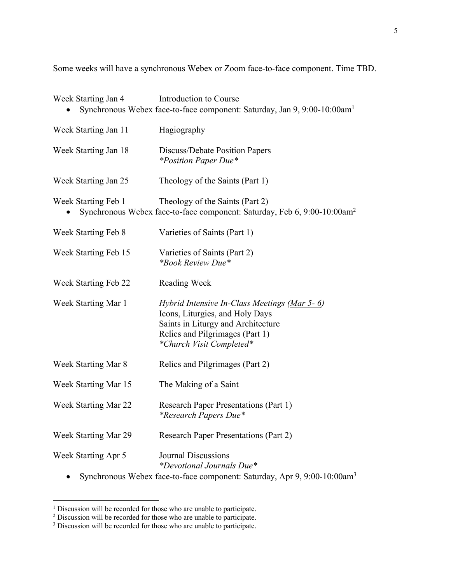Some weeks will have a synchronous Webex or Zoom face-to-face component. Time TBD.

| Week Starting Jan 4  | Introduction to Course<br>Synchronous Webex face-to-face component: Saturday, Jan 9, 9:00-10:00am <sup>1</sup>                                                                       |
|----------------------|--------------------------------------------------------------------------------------------------------------------------------------------------------------------------------------|
| Week Starting Jan 11 | Hagiography                                                                                                                                                                          |
| Week Starting Jan 18 | Discuss/Debate Position Papers<br><i>*Position Paper Due*</i>                                                                                                                        |
| Week Starting Jan 25 | Theology of the Saints (Part 1)                                                                                                                                                      |
| Week Starting Feb 1  | Theology of the Saints (Part 2)<br>Synchronous Webex face-to-face component: Saturday, Feb 6, 9:00-10:00am <sup>2</sup>                                                              |
| Week Starting Feb 8  | Varieties of Saints (Part 1)                                                                                                                                                         |
| Week Starting Feb 15 | Varieties of Saints (Part 2)<br><i>*Book Review Due*</i>                                                                                                                             |
| Week Starting Feb 22 | Reading Week                                                                                                                                                                         |
| Week Starting Mar 1  | Hybrid Intensive In-Class Meetings (Mar 5-6)<br>Icons, Liturgies, and Holy Days<br>Saints in Liturgy and Architecture<br>Relics and Pilgrimages (Part 1)<br>*Church Visit Completed* |
| Week Starting Mar 8  | Relics and Pilgrimages (Part 2)                                                                                                                                                      |
| Week Starting Mar 15 | The Making of a Saint                                                                                                                                                                |
| Week Starting Mar 22 | <b>Research Paper Presentations (Part 1)</b><br><i>*Research Papers Due*</i>                                                                                                         |
| Week Starting Mar 29 | <b>Research Paper Presentations (Part 2)</b>                                                                                                                                         |
| Week Starting Apr 5  | <b>Journal Discussions</b><br><i>*Devotional Journals Due*</i><br>Synchronous Webex face-to-face component: Saturday, Apr 9, 9:00-10:00am <sup>3</sup>                               |

 $1$  Discussion will be recorded for those who are unable to participate.

 $2$  Discussion will be recorded for those who are unable to participate.

<sup>&</sup>lt;sup>3</sup> Discussion will be recorded for those who are unable to participate.